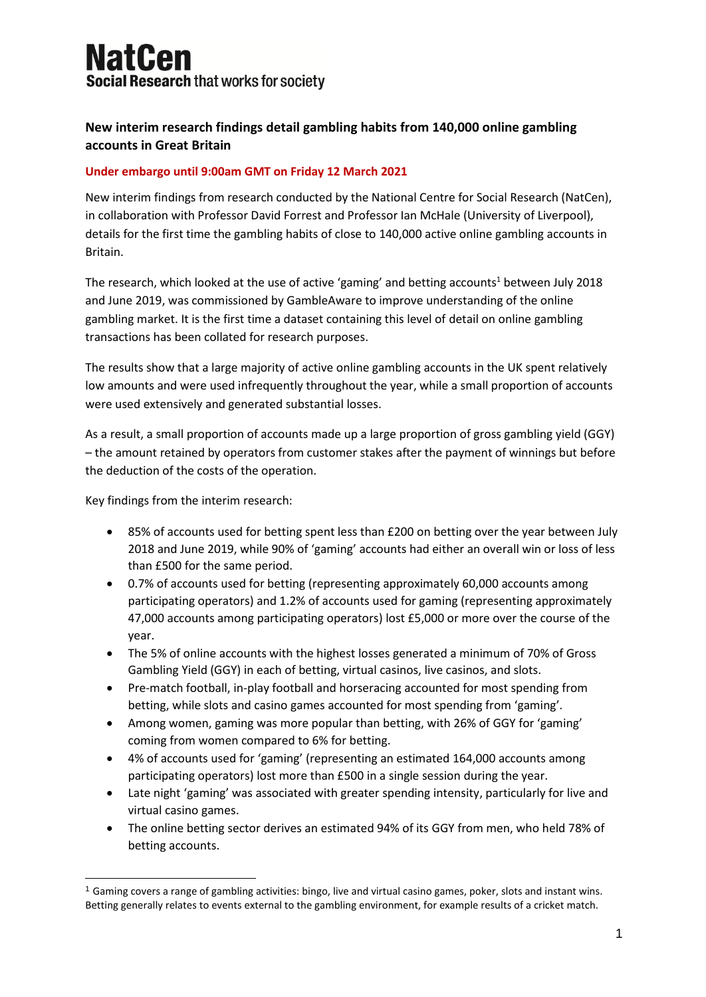# **NatCen Social Research that works for society**

## **New interim research findings detail gambling habits from 140,000 online gambling accounts in Great Britain**

### **Under embargo until 9:00am GMT on Friday 12 March 2021**

New interim findings from research conducted by the National Centre for Social Research (NatCen), in collaboration with Professor David Forrest and Professor Ian McHale (University of Liverpool), details for the first time the gambling habits of close to 140,000 active online gambling accounts in Britain.

The research, which looked at the use of active 'gaming' and betting accounts<sup>1</sup> between July 2018 and June 2019, was commissioned by GambleAware to improve understanding of the online gambling market. It is the first time a dataset containing this level of detail on online gambling transactions has been collated for research purposes.

The results show that a large majority of active online gambling accounts in the UK spent relatively low amounts and were used infrequently throughout the year, while a small proportion of accounts were used extensively and generated substantial losses.

As a result, a small proportion of accounts made up a large proportion of gross gambling yield (GGY) – the amount retained by operators from customer stakes after the payment of winnings but before the deduction of the costs of the operation.

Key findings from the interim research:

- 85% of accounts used for betting spent less than £200 on betting over the year between July 2018 and June 2019, while 90% of 'gaming' accounts had either an overall win or loss of less than £500 for the same period.
- 0.7% of accounts used for betting (representing approximately 60,000 accounts among participating operators) and 1.2% of accounts used for gaming (representing approximately 47,000 accounts among participating operators) lost £5,000 or more over the course of the year.
- The 5% of online accounts with the highest losses generated a minimum of 70% of Gross Gambling Yield (GGY) in each of betting, virtual casinos, live casinos, and slots.
- Pre-match football, in-play football and horseracing accounted for most spending from betting, while slots and casino games accounted for most spending from 'gaming'.
- Among women, gaming was more popular than betting, with 26% of GGY for 'gaming' coming from women compared to 6% for betting.
- 4% of accounts used for 'gaming' (representing an estimated 164,000 accounts among participating operators) lost more than £500 in a single session during the year.
- Late night 'gaming' was associated with greater spending intensity, particularly for live and virtual casino games.
- The online betting sector derives an estimated 94% of its GGY from men, who held 78% of betting accounts.

 $1$  Gaming covers a range of gambling activities: bingo, live and virtual casino games, poker, slots and instant wins. Betting generally relates to events external to the gambling environment, for example results of a cricket match.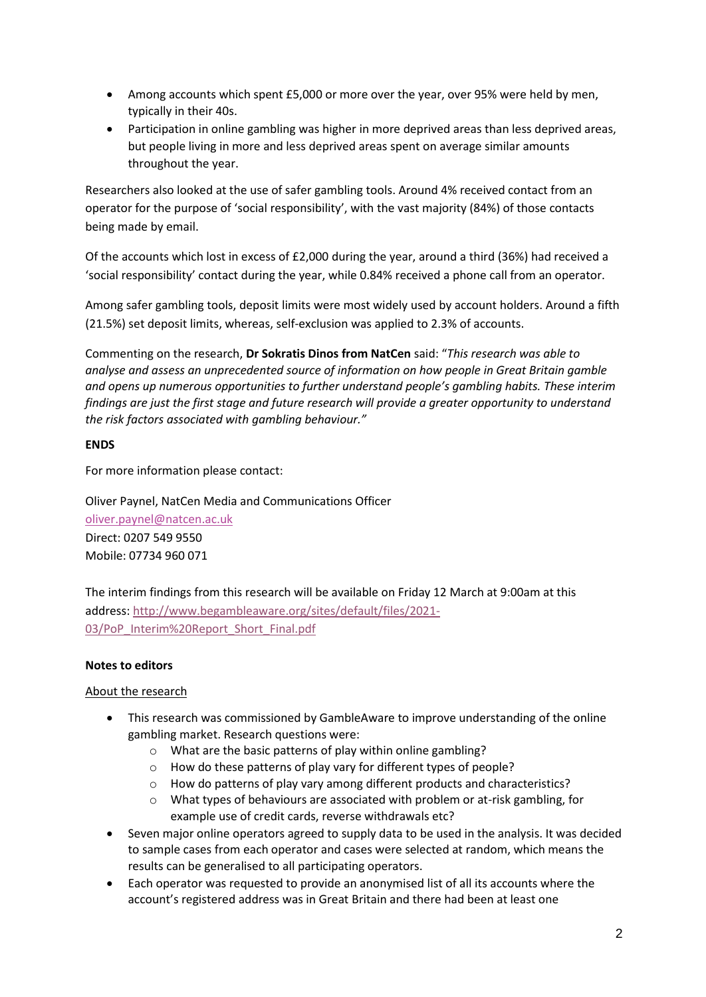- Among accounts which spent £5,000 or more over the year, over 95% were held by men, typically in their 40s.
- Participation in online gambling was higher in more deprived areas than less deprived areas, but people living in more and less deprived areas spent on average similar amounts throughout the year.

Researchers also looked at the use of safer gambling tools. Around 4% received contact from an operator for the purpose of 'social responsibility', with the vast majority (84%) of those contacts being made by email.

Of the accounts which lost in excess of £2,000 during the year, around a third (36%) had received a 'social responsibility' contact during the year, while 0.84% received a phone call from an operator.

Among safer gambling tools, deposit limits were most widely used by account holders. Around a fifth (21.5%) set deposit limits, whereas, self-exclusion was applied to 2.3% of accounts.

Commenting on the research, **Dr Sokratis Dinos from NatCen** said: "*This research was able to analyse and assess an unprecedented source of information on how people in Great Britain gamble and opens up numerous opportunities to further understand people's gambling habits. These interim findings are just the first stage and future research will provide a greater opportunity to understand the risk factors associated with gambling behaviour."*

#### **ENDS**

For more information please contact:

Oliver Paynel, NatCen Media and Communications Officer [oliver.paynel@natcen.ac.uk](mailto:oliver.paynel@natcen.ac.uk) Direct: 0207 549 9550 Mobile: 07734 960 071

The interim findings from this research will be available on Friday 12 March at 9:00am at this address: [http://www.begambleaware.org/sites/default/files/2021-](http://www.begambleaware.org/sites/default/files/2021-03/PoP_Interim%20Report_Short_Final.pdf) [03/PoP\\_Interim%20Report\\_Short\\_Final.pdf](http://www.begambleaware.org/sites/default/files/2021-03/PoP_Interim%20Report_Short_Final.pdf)

#### **Notes to editors**

#### About the research

- This research was commissioned by GambleAware to improve understanding of the online gambling market. Research questions were:
	- o What are the basic patterns of play within online gambling?
	- o How do these patterns of play vary for different types of people?
	- o How do patterns of play vary among different products and characteristics?
	- $\circ$  What types of behaviours are associated with problem or at-risk gambling, for example use of credit cards, reverse withdrawals etc?
- Seven major online operators agreed to supply data to be used in the analysis. It was decided to sample cases from each operator and cases were selected at random, which means the results can be generalised to all participating operators.
- Each operator was requested to provide an anonymised list of all its accounts where the account's registered address was in Great Britain and there had been at least one